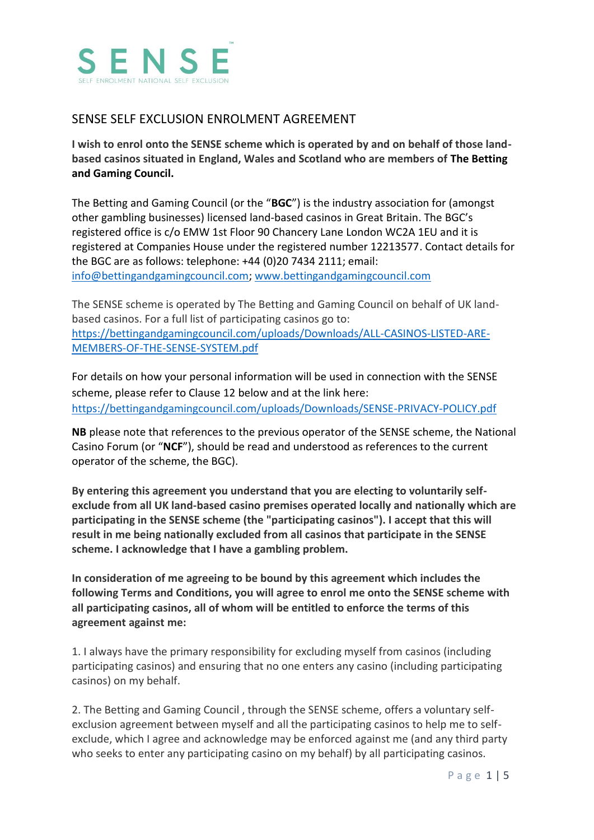

## SENSE SELF EXCLUSION ENROLMENT AGREEMENT

**I wish to enrol onto the SENSE scheme which is operated by and on behalf of those landbased casinos situated in England, Wales and Scotland who are members of The Betting and Gaming Council.** 

The Betting and Gaming Council (or the "**BGC**") is the industry association for (amongst other gambling businesses) licensed land-based casinos in Great Britain. The BGC's registered office is c/o EMW 1st Floor 90 Chancery Lane London WC2A 1EU and it is registered at Companies House under the registered number 12213577. Contact details for the BGC are as follows: telephone: +44 (0)20 7434 2111; email: [info@bettingandgamingcouncil.com;](mailto:info@bettingandgamingcouncil.com) [www.bettingandgamingcouncil.com](http://www.bettingandgamingcouncil.com/)

The SENSE scheme is operated by The Betting and Gaming Council on behalf of UK landbased casinos. For a full list of participating casinos go to: [https://bettingandgamingcouncil.com/uploads/Downloads/ALL-CASINOS-LISTED-ARE-](https://bettingandgamingcouncil.com/uploads/Downloads/ALL-CASINOS-LISTED-ARE-MEMBERS-OF-THE-SENSE-SYSTEM.pdf)[MEMBERS-OF-THE-SENSE-SYSTEM.pdf](https://bettingandgamingcouncil.com/uploads/Downloads/ALL-CASINOS-LISTED-ARE-MEMBERS-OF-THE-SENSE-SYSTEM.pdf)

For details on how your personal information will be used in connection with the SENSE scheme, please refer to Clause 12 below and at the link here: <https://bettingandgamingcouncil.com/uploads/Downloads/SENSE-PRIVACY-POLICY.pdf>

**NB** please note that references to the previous operator of the SENSE scheme, the National Casino Forum (or "**NCF**"), should be read and understood as references to the current operator of the scheme, the BGC).

**By entering this agreement you understand that you are electing to voluntarily selfexclude from all UK land-based casino premises operated locally and nationally which are participating in the SENSE scheme (the "participating casinos"). I accept that this will result in me being nationally excluded from all casinos that participate in the SENSE scheme. I acknowledge that I have a gambling problem.**

**In consideration of me agreeing to be bound by this agreement which includes the following Terms and Conditions, you will agree to enrol me onto the SENSE scheme with all participating casinos, all of whom will be entitled to enforce the terms of this agreement against me:**

1. I always have the primary responsibility for excluding myself from casinos (including participating casinos) and ensuring that no one enters any casino (including participating casinos) on my behalf.

2. The Betting and Gaming Council , through the SENSE scheme, offers a voluntary selfexclusion agreement between myself and all the participating casinos to help me to selfexclude, which I agree and acknowledge may be enforced against me (and any third party who seeks to enter any participating casino on my behalf) by all participating casinos.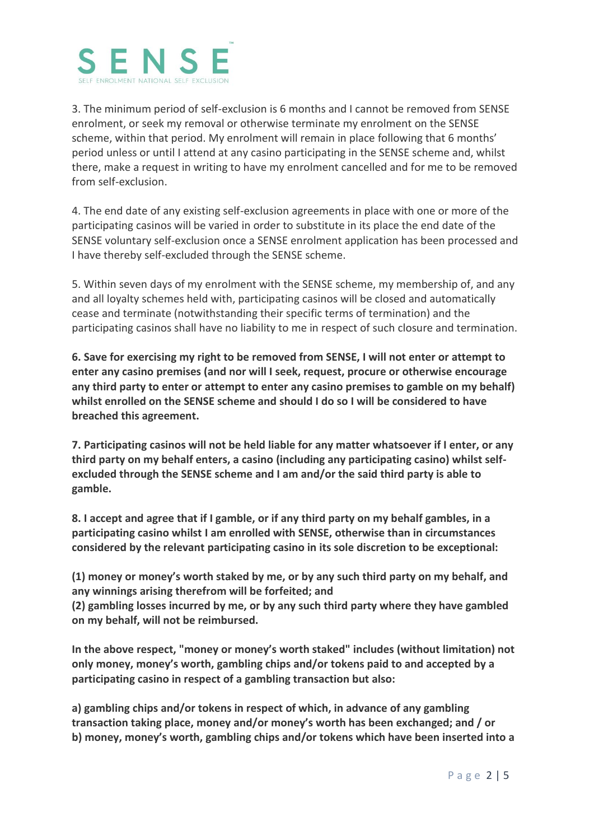

3. The minimum period of self-exclusion is 6 months and I cannot be removed from SENSE enrolment, or seek my removal or otherwise terminate my enrolment on the SENSE scheme, within that period. My enrolment will remain in place following that 6 months' period unless or until I attend at any casino participating in the SENSE scheme and, whilst there, make a request in writing to have my enrolment cancelled and for me to be removed from self-exclusion.

4. The end date of any existing self-exclusion agreements in place with one or more of the participating casinos will be varied in order to substitute in its place the end date of the SENSE voluntary self-exclusion once a SENSE enrolment application has been processed and I have thereby self-excluded through the SENSE scheme.

5. Within seven days of my enrolment with the SENSE scheme, my membership of, and any and all loyalty schemes held with, participating casinos will be closed and automatically cease and terminate (notwithstanding their specific terms of termination) and the participating casinos shall have no liability to me in respect of such closure and termination.

**6. Save for exercising my right to be removed from SENSE, I will not enter or attempt to enter any casino premises (and nor will I seek, request, procure or otherwise encourage any third party to enter or attempt to enter any casino premises to gamble on my behalf) whilst enrolled on the SENSE scheme and should I do so I will be considered to have breached this agreement.**

**7. Participating casinos will not be held liable for any matter whatsoever if I enter, or any third party on my behalf enters, a casino (including any participating casino) whilst selfexcluded through the SENSE scheme and I am and/or the said third party is able to gamble.**

**8. I accept and agree that if I gamble, or if any third party on my behalf gambles, in a participating casino whilst I am enrolled with SENSE, otherwise than in circumstances considered by the relevant participating casino in its sole discretion to be exceptional:**

**(1) money or money's worth staked by me, or by any such third party on my behalf, and any winnings arising therefrom will be forfeited; and**

**(2) gambling losses incurred by me, or by any such third party where they have gambled on my behalf, will not be reimbursed.**

**In the above respect, "money or money's worth staked" includes (without limitation) not only money, money's worth, gambling chips and/or tokens paid to and accepted by a participating casino in respect of a gambling transaction but also:**

**a) gambling chips and/or tokens in respect of which, in advance of any gambling transaction taking place, money and/or money's worth has been exchanged; and / or b) money, money's worth, gambling chips and/or tokens which have been inserted into a**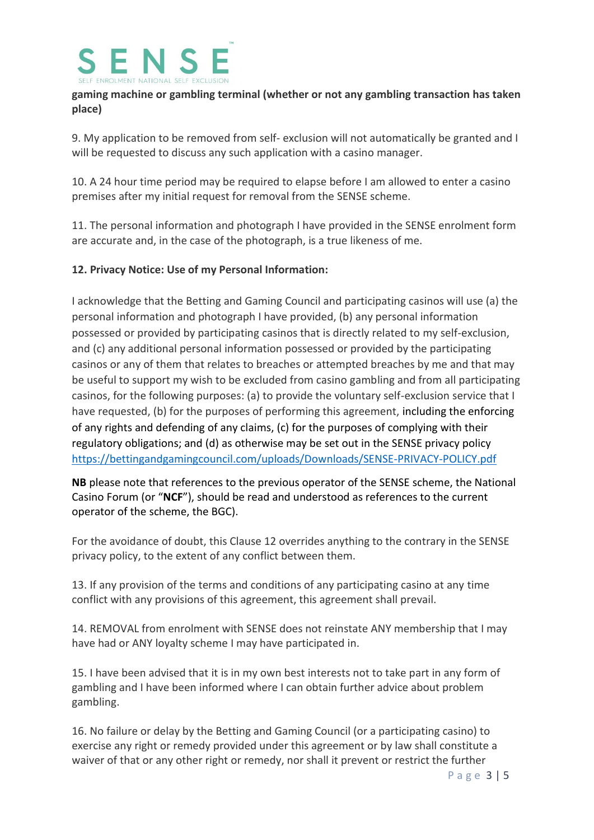

## **gaming machine or gambling terminal (whether or not any gambling transaction has taken place)**

9. My application to be removed from self- exclusion will not automatically be granted and I will be requested to discuss any such application with a casino manager.

10. A 24 hour time period may be required to elapse before I am allowed to enter a casino premises after my initial request for removal from the SENSE scheme.

11. The personal information and photograph I have provided in the SENSE enrolment form are accurate and, in the case of the photograph, is a true likeness of me.

## **12. Privacy Notice: Use of my Personal Information:**

I acknowledge that the Betting and Gaming Council and participating casinos will use (a) the personal information and photograph I have provided, (b) any personal information possessed or provided by participating casinos that is directly related to my self-exclusion, and (c) any additional personal information possessed or provided by the participating casinos or any of them that relates to breaches or attempted breaches by me and that may be useful to support my wish to be excluded from casino gambling and from all participating casinos, for the following purposes: (a) to provide the voluntary self-exclusion service that I have requested, (b) for the purposes of performing this agreement, including the enforcing of any rights and defending of any claims, (c) for the purposes of complying with their regulatory obligations; and (d) as otherwise may be set out in the SENSE privacy policy <https://bettingandgamingcouncil.com/uploads/Downloads/SENSE-PRIVACY-POLICY.pdf>

**NB** please note that references to the previous operator of the SENSE scheme, the National Casino Forum (or "**NCF**"), should be read and understood as references to the current operator of the scheme, the BGC).

For the avoidance of doubt, this Clause 12 overrides anything to the contrary in the SENSE privacy policy, to the extent of any conflict between them.

13. If any provision of the terms and conditions of any participating casino at any time conflict with any provisions of this agreement, this agreement shall prevail.

14. REMOVAL from enrolment with SENSE does not reinstate ANY membership that I may have had or ANY loyalty scheme I may have participated in.

15. I have been advised that it is in my own best interests not to take part in any form of gambling and I have been informed where I can obtain further advice about problem gambling.

16. No failure or delay by the Betting and Gaming Council (or a participating casino) to exercise any right or remedy provided under this agreement or by law shall constitute a waiver of that or any other right or remedy, nor shall it prevent or restrict the further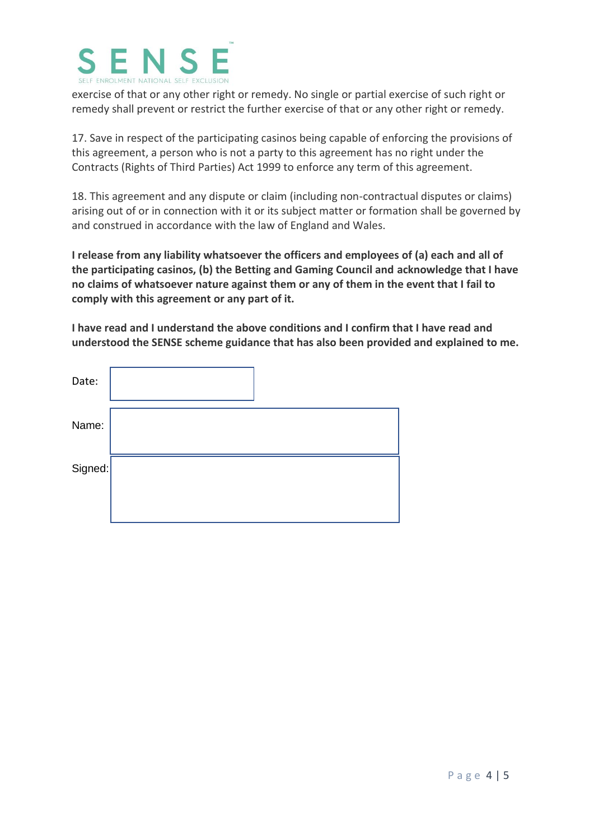

exercise of that or any other right or remedy. No single or partial exercise of such right or remedy shall prevent or restrict the further exercise of that or any other right or remedy.

17. Save in respect of the participating casinos being capable of enforcing the provisions of this agreement, a person who is not a party to this agreement has no right under the Contracts (Rights of Third Parties) Act 1999 to enforce any term of this agreement.

18. This agreement and any dispute or claim (including non-contractual disputes or claims) arising out of or in connection with it or its subject matter or formation shall be governed by and construed in accordance with the law of England and Wales.

**I release from any liability whatsoever the officers and employees of (a) each and all of the participating casinos, (b) the Betting and Gaming Council and acknowledge that I have no claims of whatsoever nature against them or any of them in the event that I fail to comply with this agreement or any part of it.**

**I have read and I understand the above conditions and I confirm that I have read and understood the SENSE scheme guidance that has also been provided and explained to me.** 

| Date:   |  |
|---------|--|
| Name:   |  |
| Signed: |  |